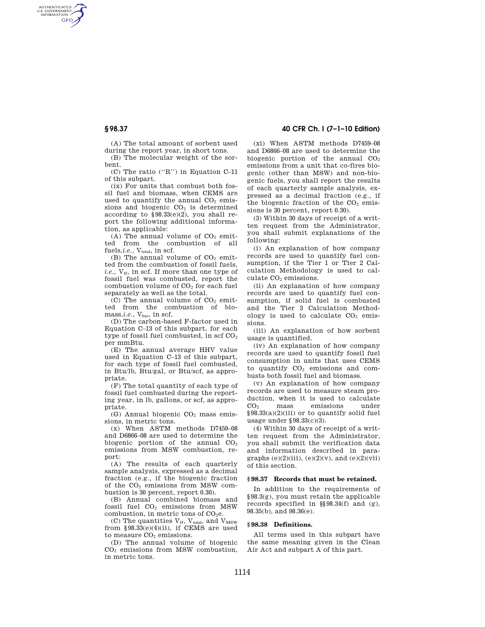AUTHENTICATED<br>U.S. GOVERNMENT<br>INFORMATION **GPO** 

> (A) The total amount of sorbent used during the report year, in short tons.

(B) The molecular weight of the sorbent.

(C) The ratio (''R'') in Equation C–11 of this subpart.

(ix) For units that combust both fossil fuel and biomass, when CEMS are used to quantify the annual  $CO<sub>2</sub>$  emissions and biogenic  $CO<sub>2</sub>$  is determined according to  $$98.33(e)(2)$ , you shall report the following additional information, as applicable:

(A) The annual volume of  $CO<sub>2</sub>$  emitted from the combustion of all fuels,*i.e.*, V<sub>total</sub>, in scf.

(B) The annual volume of  $CO<sub>2</sub>$  emitted from the combustion of fossil fuels, *i.e.*,  $V_{ff}$ , in scf. If more than one type of fossil fuel was combusted, report the combustion volume of  $CO<sub>2</sub>$  for each fuel separately as well as the total.

(C) The annual volume of  $CO<sub>2</sub>$  emitted from the combustion of biomass,*i.e.*,  $V_{bio}$ , in scf.

(D) The carbon-based F-factor used in Equation C–13 of this subpart, for each type of fossil fuel combusted, in scf  $CO<sub>2</sub>$ per mmBtu.

(E) The annual average HHV value used in Equation C–13 of this subpart, for each type of fossil fuel combusted, in Btu/lb, Btu/gal, or Btu/scf, as appropriate.

(F) The total quantity of each type of fossil fuel combusted during the reporting year, in lb, gallons, or scf, as appropriate.

(G) Annual biogenic  $CO<sub>2</sub>$  mass emissions, in metric tons.

(x) When ASTM methods D7459–08 and D6866–08 are used to determine the biogenic portion of the annual CO<sub>2</sub> emissions from MSW combustion, report:

(A) The results of each quarterly sample analysis, expressed as a decimal fraction (e.g., if the biogenic fraction of the  $CO<sub>2</sub>$  emissions from MSW combustion is 30 percent, report 0.30).

(B) Annual combined biomass and fossil fuel CO<sup>2</sup> emissions from MSW combustion, in metric tons of CO<sub>2</sub>e.

(C) The quantities  $V_{ff}$ ,  $V_{total}$ , and  $V_{MSW}$ from  $$98.33(e)(4)(ii)$ , if CEMS are used to measure  $CO<sub>2</sub>$  emissions.

(D) The annual volume of biogenic CO<sup>2</sup> emissions from MSW combustion, in metric tons.

## **§ 98.37 40 CFR Ch. I (7–1–10 Edition)**

(xi) When ASTM methods D7459–08 and D6866–08 are used to determine the biogenic portion of the annual  $CO<sub>2</sub>$ emissions from a unit that co-fires biogenic (other than MSW) and non-biogenic fuels, you shall report the results of each quarterly sample analysis, expressed as a decimal fraction (e.g., if the biogenic fraction of the  $CO<sub>2</sub>$  emissions is 30 percent, report 0.30).

(3) Within 30 days of receipt of a written request from the Administrator, you shall submit explanations of the following:

(i) An explanation of how company records are used to quantify fuel consumption, if the Tier 1 or Tier 2 Calculation Methodology is used to calculate CO<sub>2</sub> emissions.

(ii) An explanation of how company records are used to quantify fuel consumption, if solid fuel is combusted and the Tier 3 Calculation Methodology is used to calculate  $CO<sub>2</sub>$  emissions.

(iii) An explanation of how sorbent usage is quantified.

(iv) An explanation of how company records are used to quantify fossil fuel consumption in units that uses CEMS to quantify  $CO<sub>2</sub>$  emissions and combusts both fossil fuel and biomass.

(v) An explanation of how company records are used to measure steam production, when it is used to calculate CO<sup>2</sup> mass emissions under §98.33(a)(2)(iii) or to quantify solid fuel usage under §98.33(c)(3).

(4) Within 30 days of receipt of a written request from the Administrator, you shall submit the verification data and information described in paragraphs  $(e)(2)(iii)$ ,  $(e)(2)(v)$ , and  $(e)(2)(vii)$ of this section.

#### **§ 98.37 Records that must be retained.**

In addition to the requirements of §98.3(g), you must retain the applicable records specified in §§98.34(f) and (g), 98.35(b), and 98.36(e).

## **§ 98.38 Definitions.**

All terms used in this subpart have the same meaning given in the Clean Air Act and subpart A of this part.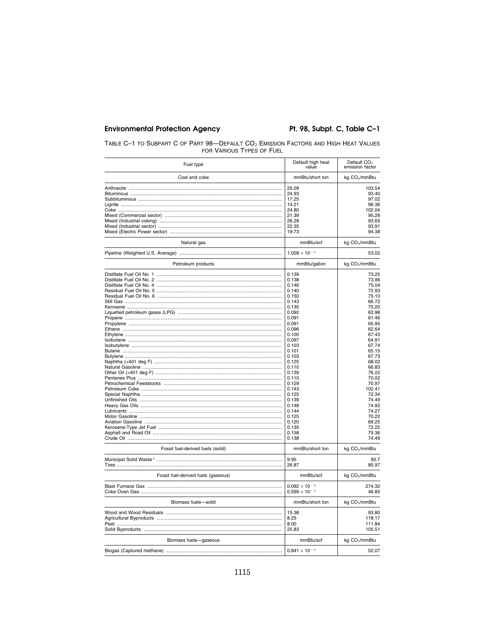## **Environmental Protection Agency**

## Pt. 98, Subpt. C, Table C-1

| TABLE C-1 TO SUBPART C OF PART 98-DEFAULT CO <sub>2</sub> EMISSION FACTORS AND HIGH HEAT VALUES |  |
|-------------------------------------------------------------------------------------------------|--|
| FOR VARIOUS TYPES OF FUEL                                                                       |  |

| Fuel type                           | Default high heat<br>value | Default CO <sub>2</sub><br>emission factor |
|-------------------------------------|----------------------------|--------------------------------------------|
| Coal and coke                       | mmBtu/short ton            | kg CO <sub>2</sub> /mmBtu                  |
|                                     | 25.09                      | 103.54                                     |
|                                     | 24.93                      | 93.40                                      |
|                                     | 17.25                      | 97.02                                      |
|                                     | 14.21                      | 96.36                                      |
|                                     | 24.80                      | 102.04                                     |
|                                     | 21.39                      | 95.26                                      |
|                                     | 26.28                      | 93.65                                      |
|                                     |                            |                                            |
|                                     | 22.35<br>19.73             | 93.91<br>94.38                             |
| Natural gas                         | mmBtu/scf                  | kg CO <sub>2</sub> /mmBtu                  |
|                                     | $1.028 \times 10^{-3}$     | 53.02                                      |
| Petroleum products                  | mmBtu/gallon               | kg CO <sub>2</sub> /mmBtu                  |
|                                     | 0.139                      | 73.25                                      |
|                                     | 0.138                      | 73.96                                      |
|                                     | 0.146                      | 75.04                                      |
|                                     | 0.140                      | 72.93                                      |
|                                     | 0.150                      | 75.10                                      |
|                                     |                            |                                            |
|                                     | 0.143                      | 66.72                                      |
|                                     | 0.135                      | 75.20                                      |
|                                     | 0.092                      | 62.98                                      |
|                                     | 0.091                      | 61.46                                      |
|                                     | 0.091                      | 65.95                                      |
|                                     | 0.096                      | 62.64                                      |
|                                     | 0.100                      | 67.43                                      |
|                                     | 0.097                      | 64.91                                      |
|                                     | 0.103                      | 67.74                                      |
|                                     | 0.101                      | 65.15                                      |
|                                     | 0.103                      | 67.73                                      |
|                                     | 0.125                      | 68.02                                      |
|                                     | 0.110                      | 66.83                                      |
|                                     | 0.139                      | 76.22                                      |
|                                     | 0.110                      | 70.02                                      |
|                                     | 0.129                      | 70.97                                      |
|                                     | 0.143                      | 102.41                                     |
|                                     | 0.125                      | 72.34                                      |
|                                     | 0.139                      | 74.49                                      |
|                                     | 0.148                      | 74.92                                      |
|                                     | 0.144                      | 74.27                                      |
|                                     | 0.125                      | 70.22                                      |
|                                     | 0.120                      | 69.25                                      |
|                                     | 0.135                      | 72.22                                      |
|                                     | 0.158                      | 75.36                                      |
|                                     | 0.138                      | 74.49                                      |
| Fossil fuel-derived fuels (solid)   | mmBtu/short ton            | kg CO <sub>2</sub> /mmBtu                  |
|                                     | 9.95                       | 90.7                                       |
|                                     | 26.87                      | 85.97                                      |
| Fossil fuel-derived fuels (gaseous) | mmBtu/scf                  | kg CO <sub>2</sub> /mmBtu                  |
|                                     | $0.092 \times 10^{-3}$     | 274.32                                     |
|                                     | $0.599 \times 10^{-3}$     | 46.85                                      |
| Biomass fuels-solid                 | mmBtu/short ton            | kg CO <sub>2</sub> /mmBtu                  |
|                                     | 15.38                      | 93.80                                      |
|                                     | 8.25                       | 118.17                                     |
|                                     | 8.00                       | 111.84                                     |
|                                     | 25.83                      | 105.51                                     |
|                                     |                            |                                            |
| Biomass fuels-gaseous               | mmBtu/scf                  | kg CO <sub>2</sub> /mmBtu                  |
|                                     | $0.841 \times 10^{-3}$     | 52.07                                      |
|                                     |                            |                                            |